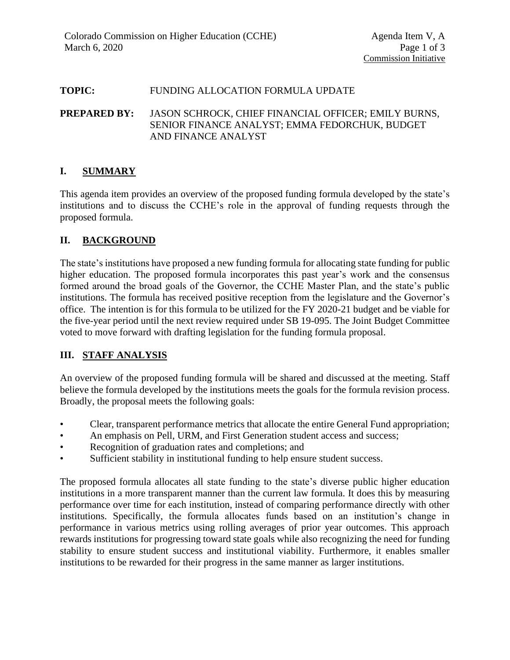#### **TOPIC:** FUNDING ALLOCATION FORMULA UPDATE

**PREPARED BY:** JASON SCHROCK, CHIEF FINANCIAL OFFICER; EMILY BURNS, SENIOR FINANCE ANALYST; EMMA FEDORCHUK, BUDGET AND FINANCE ANALYST

## **I. SUMMARY**

This agenda item provides an overview of the proposed funding formula developed by the state's institutions and to discuss the CCHE's role in the approval of funding requests through the proposed formula.

# **II. BACKGROUND**

The state's institutions have proposed a new funding formula for allocating state funding for public higher education. The proposed formula incorporates this past year's work and the consensus formed around the broad goals of the Governor, the CCHE Master Plan, and the state's public institutions. The formula has received positive reception from the legislature and the Governor's office. The intention is for this formula to be utilized for the FY 2020-21 budget and be viable for the five-year period until the next review required under SB 19-095. The Joint Budget Committee voted to move forward with drafting legislation for the funding formula proposal.

## **III. STAFF ANALYSIS**

An overview of the proposed funding formula will be shared and discussed at the meeting. Staff believe the formula developed by the institutions meets the goals for the formula revision process. Broadly, the proposal meets the following goals:

- Clear, transparent performance metrics that allocate the entire General Fund appropriation;
- An emphasis on Pell, URM, and First Generation student access and success;
- Recognition of graduation rates and completions; and
- Sufficient stability in institutional funding to help ensure student success.

The proposed formula allocates all state funding to the state's diverse public higher education institutions in a more transparent manner than the current law formula. It does this by measuring performance over time for each institution, instead of comparing performance directly with other institutions. Specifically, the formula allocates funds based on an institution's change in performance in various metrics using rolling averages of prior year outcomes. This approach rewards institutions for progressing toward state goals while also recognizing the need for funding stability to ensure student success and institutional viability. Furthermore, it enables smaller institutions to be rewarded for their progress in the same manner as larger institutions.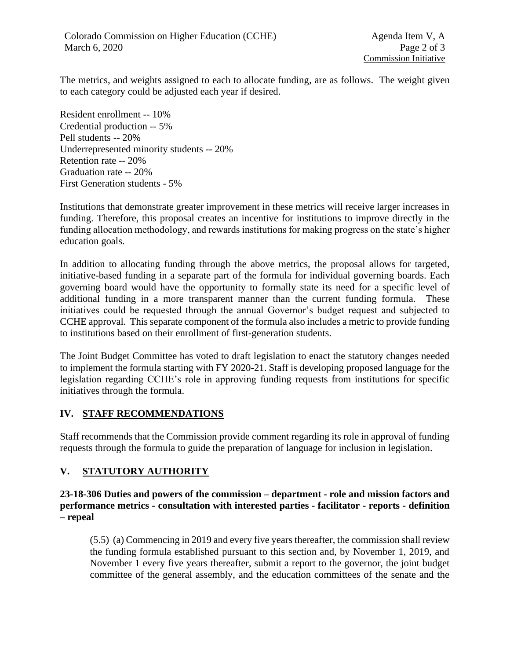The metrics, and weights assigned to each to allocate funding, are as follows. The weight given to each category could be adjusted each year if desired.

Resident enrollment -- 10% Credential production -- 5% Pell students -- 20% Underrepresented minority students -- 20% Retention rate -- 20% Graduation rate -- 20% First Generation students - 5%

Institutions that demonstrate greater improvement in these metrics will receive larger increases in funding. Therefore, this proposal creates an incentive for institutions to improve directly in the funding allocation methodology, and rewards institutions for making progress on the state's higher education goals.

In addition to allocating funding through the above metrics, the proposal allows for targeted, initiative-based funding in a separate part of the formula for individual governing boards. Each governing board would have the opportunity to formally state its need for a specific level of additional funding in a more transparent manner than the current funding formula. These initiatives could be requested through the annual Governor's budget request and subjected to CCHE approval. This separate component of the formula also includes a metric to provide funding to institutions based on their enrollment of first-generation students.

The Joint Budget Committee has voted to draft legislation to enact the statutory changes needed to implement the formula starting with FY 2020-21. Staff is developing proposed language for the legislation regarding CCHE's role in approving funding requests from institutions for specific initiatives through the formula.

## **IV. STAFF RECOMMENDATIONS**

Staff recommends that the Commission provide comment regarding its role in approval of funding requests through the formula to guide the preparation of language for inclusion in legislation.

## **V. STATUTORY AUTHORITY**

**23-18-306 Duties and powers of the commission – department - role and mission factors and performance metrics - consultation with interested parties - facilitator - reports - definition – repeal**

(5.5) (a) Commencing in 2019 and every five years thereafter, the commission shall review the funding formula established pursuant to this section and, by November 1, 2019, and November 1 every five years thereafter, submit a report to the governor, the joint budget committee of the general assembly, and the education committees of the senate and the